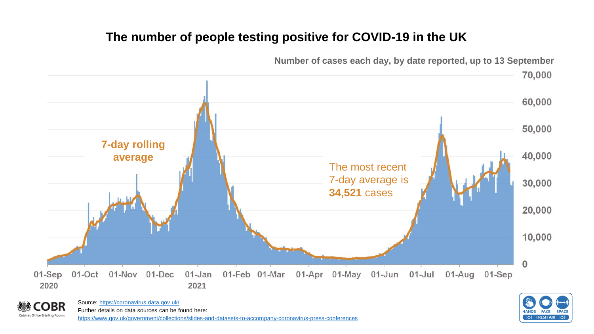## **The number of people testing positive for COVID-19 in the UK**





Source:<https://coronavirus.data.gov.uk/> Further details on data sources can be found here: <https://www.gov.uk/government/collections/slides-and-datasets-to-accompany-coronavirus-press-conferences>

BR

Cabinet Office Briefing Rooms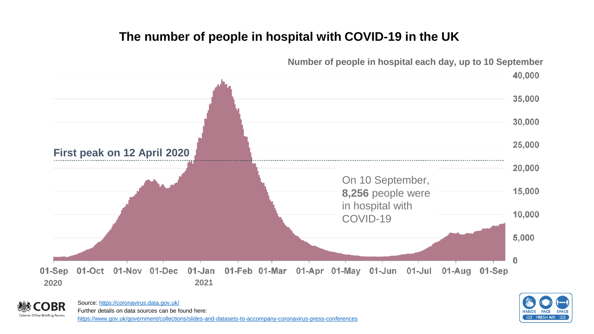## **The number of people in hospital with COVID-19 in the UK**



**Number of people in hospital each day, up to 10 September**



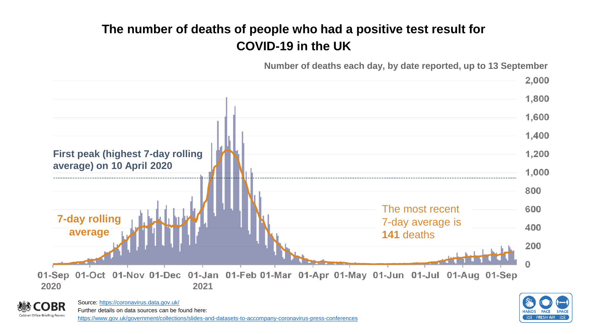# **The number of deaths of people who had a positive test result for COVID-19 in the UK**

**Number of deaths each day, by date reported, up to 13 September**





Source:<https://coronavirus.data.gov.uk/> Further details on data sources can be found here: <https://www.gov.uk/government/collections/slides-and-datasets-to-accompany-coronavirus-press-conferences>

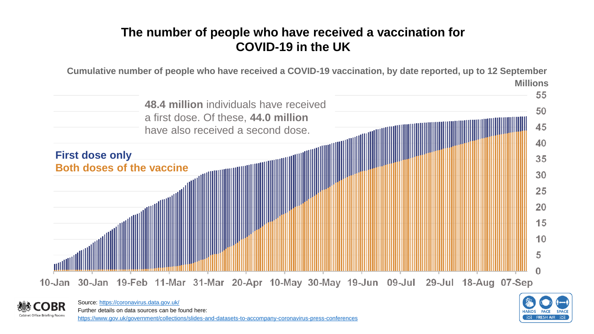## **The number of people who have received a vaccination for COVID-19 in the UK**

**Cumulative number of people who have received a COVID-19 vaccination, by date reported, up to 12 September Millions** 55 **48.4 million** individuals have received 50 a first dose. Of these, **44.0 million**  45 have also received a second dose.40 **First dose only** 35 30 25



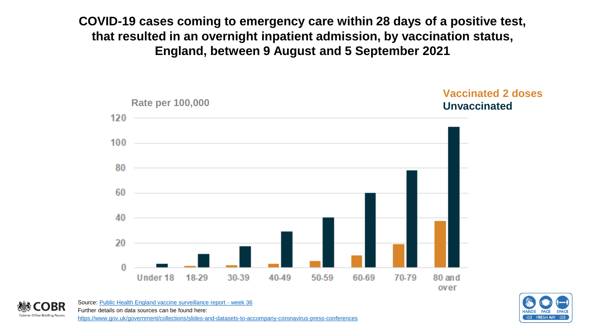**COVID-19 cases coming to emergency care within 28 days of a positive test, that resulted in an overnight inpatient admission, by vaccination status, England, between 9 August and 5 September 2021**





Source: [Public Health England vaccine surveillance report -](https://assets.publishing.service.gov.uk/government/uploads/system/uploads/attachment_data/file/1016465/Vaccine_surveillance_report_-_week_36.pdf) week 36 Further details on data sources can be found here: **Cabinet Office Briefing Rooms** <https://www.gov.uk/government/collections/slides-and-datasets-to-accompany-coronavirus-press-conferences>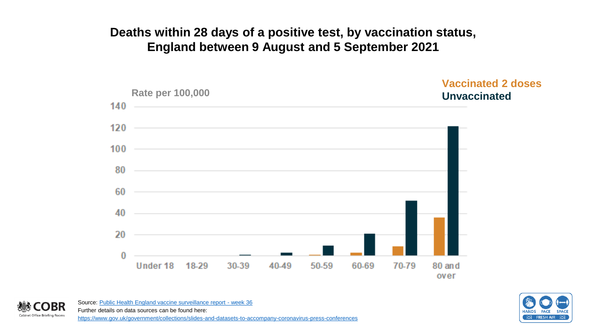### **Deaths within 28 days of a positive test, by vaccination status, England between 9 August and 5 September 2021**



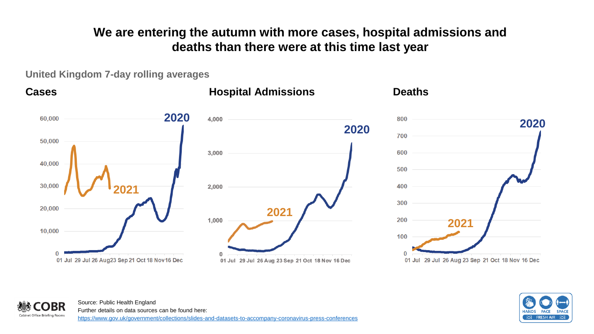**We are entering the autumn with more cases, hospital admissions and deaths than there were at this time last year**

**United Kingdom 7-day rolling averages**

Cabinet Office Briefing Rooms



## **HANDS FACE**

Source: Public Health England Further details on data sources can be found here: <https://www.gov.uk/government/collections/slides-and-datasets-to-accompany-coronavirus-press-conferences>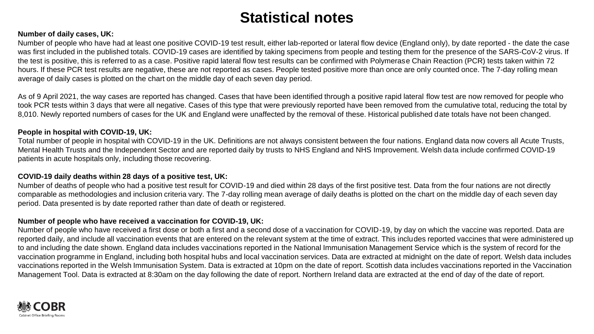# **Statistical notes**

#### **Number of daily cases, UK:**

Number of people who have had at least one positive COVID-19 test result, either lab-reported or lateral flow device (England only), by date reported - the date the case was first included in the published totals. COVID-19 cases are identified by taking specimens from people and testing them for the presence of the SARS-CoV-2 virus. If the test is positive, this is referred to as a case. Positive rapid lateral flow test results can be confirmed with Polymerase Chain Reaction (PCR) tests taken within 72 hours. If these PCR test results are negative, these are not reported as cases. People tested positive more than once are only counted once. The 7-day rolling mean average of daily cases is plotted on the chart on the middle day of each seven day period.

As of 9 April 2021, the way cases are reported has changed. Cases that have been identified through a positive rapid lateral flow test are now removed for people who took PCR tests within 3 days that were all negative. Cases of this type that were previously reported have been removed from the cumulative total, reducing the total by 8,010. Newly reported numbers of cases for the UK and England were unaffected by the removal of these. Historical published date totals have not been changed.

#### **People in hospital with COVID-19, UK:**

Total number of people in hospital with COVID-19 in the UK. Definitions are not always consistent between the four nations. England data now covers all Acute Trusts, Mental Health Trusts and the Independent Sector and are reported daily by trusts to NHS England and NHS Improvement. Welsh data include confirmed COVID-19 patients in acute hospitals only, including those recovering.

#### **COVID-19 daily deaths within 28 days of a positive test, UK:**

Number of deaths of people who had a positive test result for COVID-19 and died within 28 days of the first positive test. Data from the four nations are not directly comparable as methodologies and inclusion criteria vary. The 7-day rolling mean average of daily deaths is plotted on the chart on the middle day of each seven day period. Data presented is by date reported rather than date of death or registered.

#### **Number of people who have received a vaccination for COVID-19, UK:**

Number of people who have received a first dose or both a first and a second dose of a vaccination for COVID-19, by day on which the vaccine was reported. Data are reported daily, and include all vaccination events that are entered on the relevant system at the time of extract. This includes reported vaccines that were administered up to and including the date shown. England data includes vaccinations reported in the National Immunisation Management Service which is the system of record for the vaccination programme in England, including both hospital hubs and local vaccination services. Data are extracted at midnight on the date of report. Welsh data includes vaccinations reported in the Welsh Immunisation System. Data is extracted at 10pm on the date of report. Scottish data includes vaccinations reported in the Vaccination Management Tool. Data is extracted at 8:30am on the day following the date of report. Northern Ireland data are extracted at the end of day of the date of report.

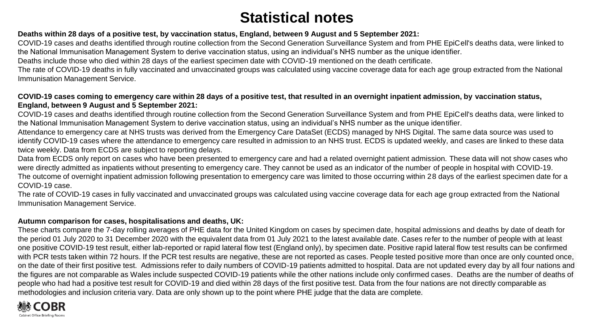# **Statistical notes**

### **Deaths within 28 days of a positive test, by vaccination status, England, between 9 August and 5 September 2021:**

COVID-19 cases and deaths identified through routine collection from the Second Generation Surveillance System and from PHE EpiCell's deaths data, were linked to the National Immunisation Management System to derive vaccination status, using an individual's NHS number as the unique identifier.

Deaths include those who died within 28 days of the earliest specimen date with COVID-19 mentioned on the death certificate.

The rate of COVID-19 deaths in fully vaccinated and unvaccinated groups was calculated using vaccine coverage data for each age group extracted from the National Immunisation Management Service.

### **COVID-19 cases coming to emergency care within 28 days of a positive test, that resulted in an overnight inpatient admission, by vaccination status, England, between 9 August and 5 September 2021:**

COVID-19 cases and deaths identified through routine collection from the Second Generation Surveillance System and from PHE EpiCell's deaths data, were linked to the National Immunisation Management System to derive vaccination status, using an individual's NHS number as the unique identifier.

Attendance to emergency care at NHS trusts was derived from the Emergency Care DataSet (ECDS) managed by NHS Digital. The same data source was used to identify COVID-19 cases where the attendance to emergency care resulted in admission to an NHS trust. ECDS is updated weekly, and cases are linked to these data twice weekly. Data from ECDS are subject to reporting delays.

Data from ECDS only report on cases who have been presented to emergency care and had a related overnight patient admission. These data will not show cases who were directly admitted as inpatients without presenting to emergency care. They cannot be used as an indicator of the number of people in hospital with COVID-19. The outcome of overnight inpatient admission following presentation to emergency care was limited to those occurring within 28 days of the earliest specimen date for a COVID-19 case.

The rate of COVID-19 cases in fully vaccinated and unvaccinated groups was calculated using vaccine coverage data for each age group extracted from the National Immunisation Management Service.

### **Autumn comparison for cases, hospitalisations and deaths, UK:**

These charts compare the 7-day rolling averages of PHE data for the United Kingdom on cases by specimen date, hospital admissions and deaths by date of death for the period 01 July 2020 to 31 December 2020 with the equivalent data from 01 July 2021 to the latest available date. Cases refer to the number of people with at least one positive COVID-19 test result, either lab-reported or rapid lateral flow test (England only), by specimen date. Positive rapid lateral flow test results can be confirmed with PCR tests taken within 72 hours. If the PCR test results are negative, these are not reported as cases. People tested positive more than once are only counted once, on the date of their first positive test. Admissions refer to daily numbers of COVID-19 patients admitted to hospital. Data are not updated every day by all four nations and the figures are not comparable as Wales include suspected COVID-19 patients while the other nations include only confirmed cases. Deaths are the number of deaths of people who had had a positive test result for COVID-19 and died within 28 days of the first positive test. Data from the four nations are not directly comparable as methodologies and inclusion criteria vary. Data are only shown up to the point where PHE judge that the data are complete.